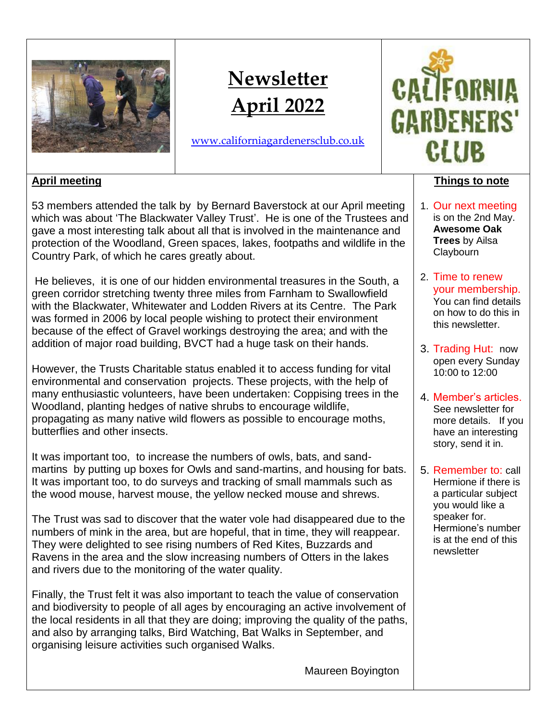

# **Newsletter April 2022**

[www.californiagardenersclub.co.uk](http://www.californiagardenersclub.co.uk/)



## **April meeting**

53 members attended the talk by by Bernard Baverstock at our April meeting which was about 'The Blackwater Valley Trust'. He is one of the Trustees and gave a most interesting talk about all that is involved in the maintenance and protection of the Woodland, Green spaces, lakes, footpaths and wildlife in the Country Park, of which he cares greatly about.

He believes, it is one of our hidden environmental treasures in the South, a green corridor stretching twenty three miles from Farnham to Swallowfield with the Blackwater, Whitewater and Lodden Rivers at its Centre. The Park was formed in 2006 by local people wishing to protect their environment because of the effect of Gravel workings destroying the area; and with the addition of major road building, BVCT had a huge task on their hands.

However, the Trusts Charitable status enabled it to access funding for vital environmental and conservation projects. These projects, with the help of many enthusiastic volunteers, have been undertaken: Coppising trees in the Woodland, planting hedges of native shrubs to encourage wildlife, propagating as many native wild flowers as possible to encourage moths, butterflies and other insects.

It was important too, to increase the numbers of owls, bats, and sandmartins by putting up boxes for Owls and sand-martins, and housing for bats. It was important too, to do surveys and tracking of small mammals such as the wood mouse, harvest mouse, the yellow necked mouse and shrews.

The Trust was sad to discover that the water vole had disappeared due to the numbers of mink in the area, but are hopeful, that in time, they will reappear. They were delighted to see rising numbers of Red Kites, Buzzards and Ravens in the area and the slow increasing numbers of Otters in the lakes and rivers due to the monitoring of the water quality.

Finally, the Trust felt it was also important to teach the value of conservation and biodiversity to people of all ages by encouraging an active involvement of the local residents in all that they are doing; improving the quality of the paths, and also by arranging talks, Bird Watching, Bat Walks in September, and organising leisure activities such organised Walks.

**Things to note**

- 1. Our next meeting is on the 2nd May. **Awesome Oak Trees** by Ailsa Claybourn
- 2. Time to renew your membership. You can find details on how to do this in this newsletter.
- 3. Trading Hut: now open every Sunday 10:00 to 12:00
- 4. Member's articles. See newsletter for more details. If you have an interesting story, send it in.
- 5. Remember to: call Hermione if there is a particular subject you would like a speaker for. Hermione's number is at the end of this newsletter

Maureen Boyington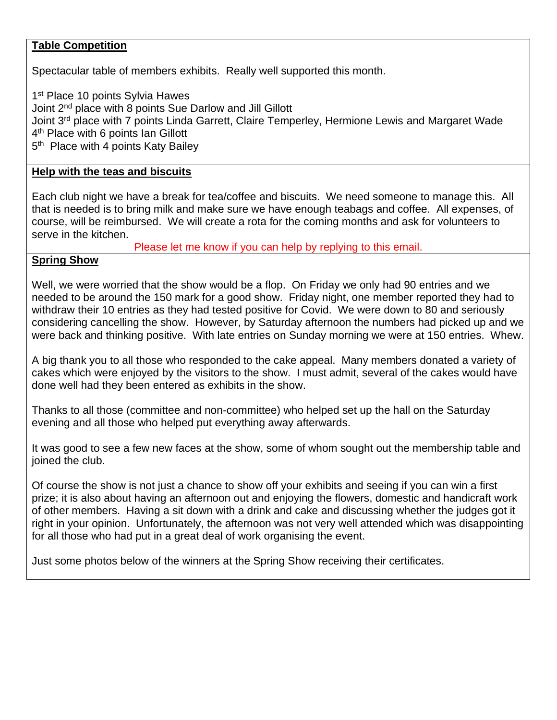#### **Table Competition**

Spectacular table of members exhibits. Really well supported this month.

1<sup>st</sup> Place 10 points Sylvia Hawes Joint 2<sup>nd</sup> place with 8 points Sue Darlow and Jill Gillott Joint 3<sup>rd</sup> place with 7 points Linda Garrett, Claire Temperley, Hermione Lewis and Margaret Wade 4<sup>th</sup> Place with 6 points lan Gillott 5<sup>th</sup> Place with 4 points Katy Bailey

## **Help with the teas and biscuits**

Each club night we have a break for tea/coffee and biscuits. We need someone to manage this. All that is needed is to bring milk and make sure we have enough teabags and coffee. All expenses, of course, will be reimbursed. We will create a rota for the coming months and ask for volunteers to serve in the kitchen.

Please let me know if you can help by replying to this email.

## **Spring Show**

Well, we were worried that the show would be a flop. On Friday we only had 90 entries and we needed to be around the 150 mark for a good show. Friday night, one member reported they had to withdraw their 10 entries as they had tested positive for Covid. We were down to 80 and seriously considering cancelling the show. However, by Saturday afternoon the numbers had picked up and we were back and thinking positive. With late entries on Sunday morning we were at 150 entries. Whew.

A big thank you to all those who responded to the cake appeal. Many members donated a variety of cakes which were enjoyed by the visitors to the show. I must admit, several of the cakes would have done well had they been entered as exhibits in the show.

Thanks to all those (committee and non-committee) who helped set up the hall on the Saturday evening and all those who helped put everything away afterwards.

It was good to see a few new faces at the show, some of whom sought out the membership table and joined the club.

Of course the show is not just a chance to show off your exhibits and seeing if you can win a first prize; it is also about having an afternoon out and enjoying the flowers, domestic and handicraft work of other members. Having a sit down with a drink and cake and discussing whether the judges got it right in your opinion. Unfortunately, the afternoon was not very well attended which was disappointing for all those who had put in a great deal of work organising the event.

Just some photos below of the winners at the Spring Show receiving their certificates.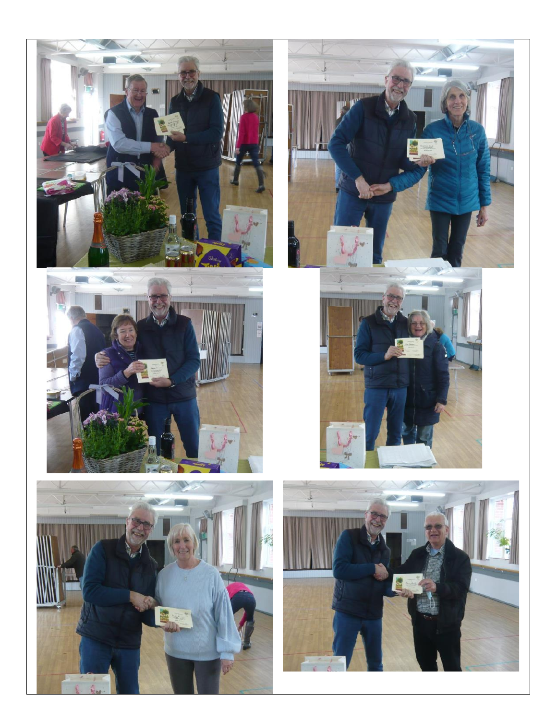









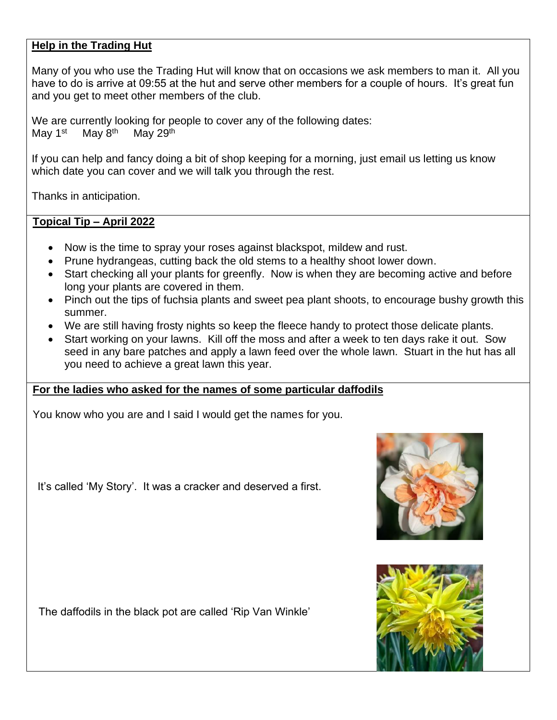## **Help in the Trading Hut**

Many of you who use the Trading Hut will know that on occasions we ask members to man it. All you have to do is arrive at 09:55 at the hut and serve other members for a couple of hours. It's great fun and you get to meet other members of the club.

We are currently looking for people to cover any of the following dates: May 1<sup>st</sup> May 8<sup>th</sup> May 29<sup>th</sup>

If you can help and fancy doing a bit of shop keeping for a morning, just email us letting us know which date you can cover and we will talk you through the rest.

Thanks in anticipation.

## **Topical Tip – April 2022**

- Now is the time to spray your roses against blackspot, mildew and rust.
- Prune hydrangeas, cutting back the old stems to a healthy shoot lower down.
- Start checking all your plants for greenfly. Now is when they are becoming active and before long your plants are covered in them.
- Pinch out the tips of fuchsia plants and sweet pea plant shoots, to encourage bushy growth this summer.
- We are still having frosty nights so keep the fleece handy to protect those delicate plants.
- Start working on your lawns. Kill off the moss and after a week to ten days rake it out. Sow seed in any bare patches and apply a lawn feed over the whole lawn. Stuart in the hut has all you need to achieve a great lawn this year.

#### **For the ladies who asked for the names of some particular daffodils**

You know who you are and I said I would get the names for you.

It's called 'My Story'. It was a cracker and deserved a first.





The daffodils in the black pot are called 'Rip Van Winkle'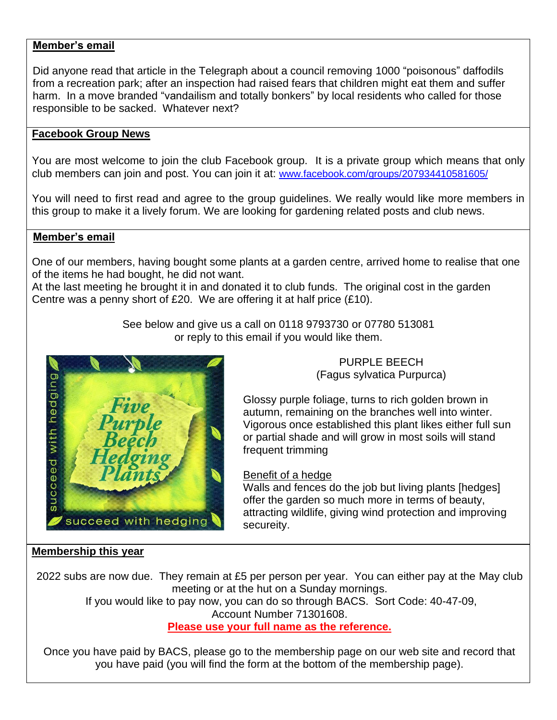#### **Member's email**

Did anyone read that article in the Telegraph about a council removing 1000 "poisonous" daffodils from a recreation park; after an inspection had raised fears that children might eat them and suffer harm. In a move branded "vandailism and totally bonkers" by local residents who called for those responsible to be sacked. Whatever next?

#### **Facebook Group News**

You are most welcome to join the club Facebook group. It is a private group which means that only club members can join and post. You can join it at: [www.facebook.com/groups/207934410581605/](http://www.facebook.com/groups/207934410581605/)

You will need to first read and agree to the group guidelines. We really would like more members in this group to make it a lively forum. We are looking for gardening related posts and club news.

#### **Member's email**

One of our members, having bought some plants at a garden centre, arrived home to realise that one of the items he had bought, he did not want.

At the last meeting he brought it in and donated it to club funds. The original cost in the garden Centre was a penny short of £20. We are offering it at half price (£10).

> See below and give us a call on 0118 9793730 or 07780 513081 or reply to this email if you would like them.



Glossy purple foliage, turns to rich golden brown in autumn, remaining on the branches well into winter. Vigorous once established this plant likes either full sun or partial shade and will grow in most soils will stand frequent trimming

Benefit of a hedge

Walls and fences do the job but living plants [hedges] offer the garden so much more in terms of beauty, attracting wildlife, giving wind protection and improving secureity.

#### **Membership this year**

2022 subs are now due. They remain at £5 per person per year. You can either pay at the May club meeting or at the hut on a Sunday mornings.

If you would like to pay now, you can do so through BACS. Sort Code: 40-47-09,

Account Number 71301608.

**Please use your full name as the reference.**

Once you have paid by BACS, please go to the membership page on our web site and record that you have paid (you will find the form at the bottom of the membership page).